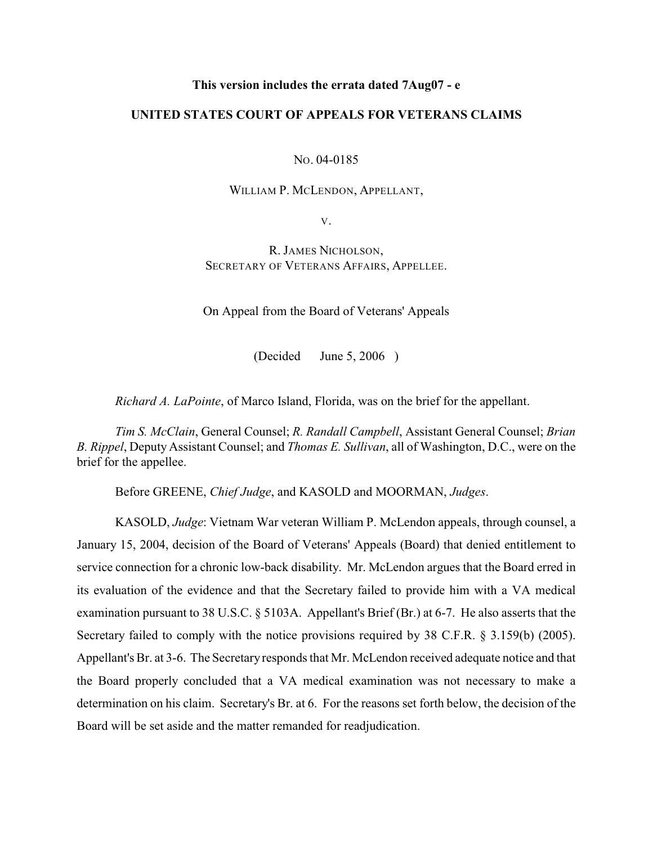## **This version includes the errata dated 7Aug07 - e**

## **UNITED STATES COURT OF APPEALS FOR VETERANS CLAIMS**

NO. 04-0185

WILLIAM P. MCLENDON, APPELLANT,

V.

R. JAMES NICHOLSON, SECRETARY OF VETERANS AFFAIRS, APPELLEE.

On Appeal from the Board of Veterans' Appeals

(Decided June 5, 2006 )

*Richard A. LaPointe*, of Marco Island, Florida, was on the brief for the appellant.

*Tim S. McClain*, General Counsel; *R. Randall Campbell*, Assistant General Counsel; *Brian B. Rippel*, Deputy Assistant Counsel; and *Thomas E. Sullivan*, all of Washington, D.C., were on the brief for the appellee.

Before GREENE, *Chief Judge*, and KASOLD and MOORMAN, *Judges*.

KASOLD, *Judge*: Vietnam War veteran William P. McLendon appeals, through counsel, a January 15, 2004, decision of the Board of Veterans' Appeals (Board) that denied entitlement to service connection for a chronic low-back disability. Mr. McLendon argues that the Board erred in its evaluation of the evidence and that the Secretary failed to provide him with a VA medical examination pursuant to 38 U.S.C. § 5103A. Appellant's Brief (Br.) at 6-7. He also asserts that the Secretary failed to comply with the notice provisions required by 38 C.F.R. § 3.159(b) (2005). Appellant's Br. at 3-6. The Secretary responds that Mr. McLendon received adequate notice and that the Board properly concluded that a VA medical examination was not necessary to make a determination on his claim. Secretary's Br. at 6. For the reasons set forth below, the decision of the Board will be set aside and the matter remanded for readjudication.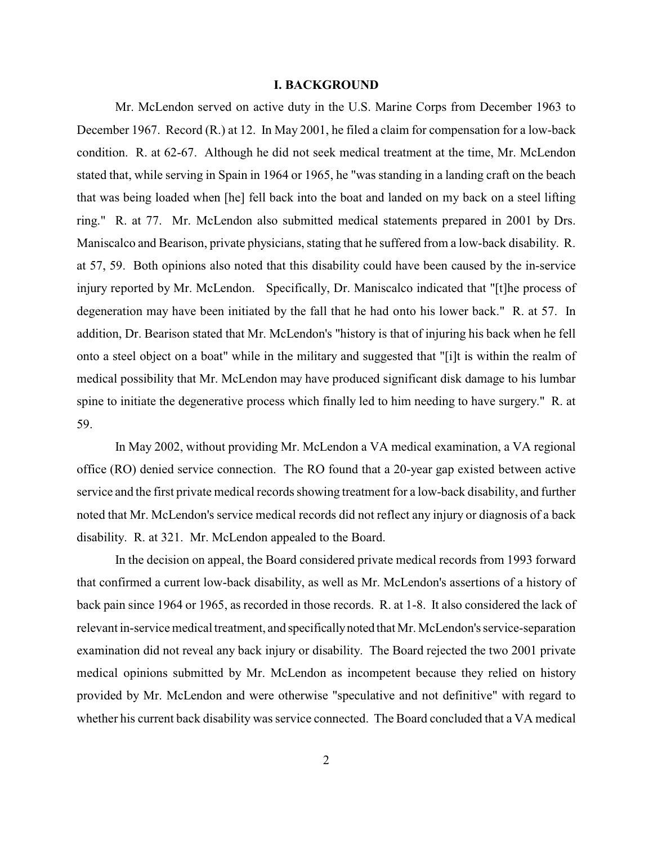#### **I. BACKGROUND**

Mr. McLendon served on active duty in the U.S. Marine Corps from December 1963 to December 1967. Record (R.) at 12. In May 2001, he filed a claim for compensation for a low-back condition. R. at 62-67. Although he did not seek medical treatment at the time, Mr. McLendon stated that, while serving in Spain in 1964 or 1965, he "was standing in a landing craft on the beach that was being loaded when [he] fell back into the boat and landed on my back on a steel lifting ring." R. at 77. Mr. McLendon also submitted medical statements prepared in 2001 by Drs. Maniscalco and Bearison, private physicians, stating that he suffered from a low-back disability. R. at 57, 59. Both opinions also noted that this disability could have been caused by the in-service injury reported by Mr. McLendon. Specifically, Dr. Maniscalco indicated that "[t]he process of degeneration may have been initiated by the fall that he had onto his lower back." R. at 57. In addition, Dr. Bearison stated that Mr. McLendon's "history is that of injuring his back when he fell onto a steel object on a boat" while in the military and suggested that "[i]t is within the realm of medical possibility that Mr. McLendon may have produced significant disk damage to his lumbar spine to initiate the degenerative process which finally led to him needing to have surgery." R. at 59.

In May 2002, without providing Mr. McLendon a VA medical examination, a VA regional office (RO) denied service connection. The RO found that a 20-year gap existed between active service and the first private medical records showing treatment for a low-back disability, and further noted that Mr. McLendon's service medical records did not reflect any injury or diagnosis of a back disability. R. at 321. Mr. McLendon appealed to the Board.

In the decision on appeal, the Board considered private medical records from 1993 forward that confirmed a current low-back disability, as well as Mr. McLendon's assertions of a history of back pain since 1964 or 1965, as recorded in those records. R. at 1-8. It also considered the lack of relevant in-service medical treatment, and specifically noted that Mr. McLendon's service-separation examination did not reveal any back injury or disability. The Board rejected the two 2001 private medical opinions submitted by Mr. McLendon as incompetent because they relied on history provided by Mr. McLendon and were otherwise "speculative and not definitive" with regard to whether his current back disability was service connected. The Board concluded that a VA medical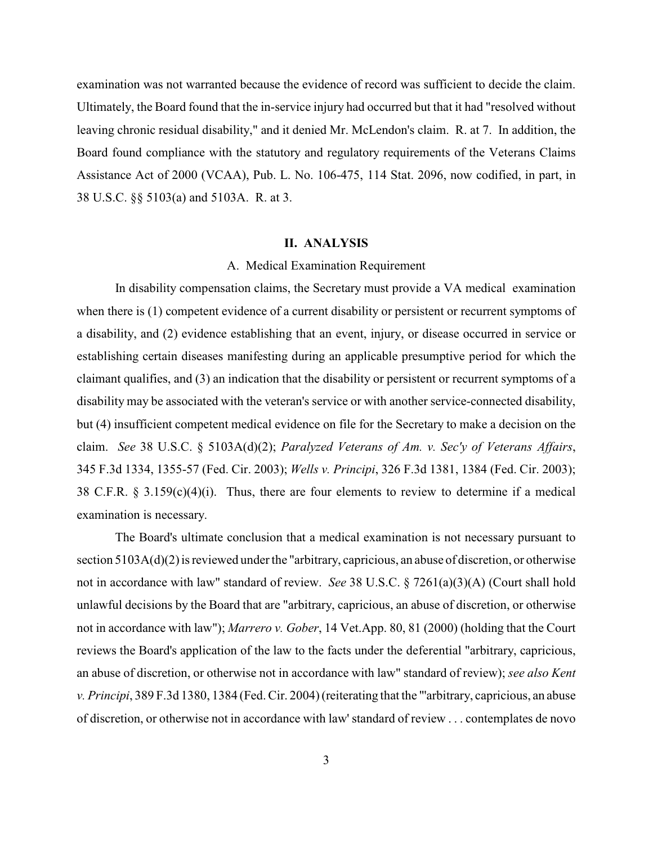examination was not warranted because the evidence of record was sufficient to decide the claim. Ultimately, the Board found that the in-service injury had occurred but that it had "resolved without leaving chronic residual disability," and it denied Mr. McLendon's claim. R. at 7. In addition, the Board found compliance with the statutory and regulatory requirements of the Veterans Claims Assistance Act of 2000 (VCAA), Pub. L. No. 106-475, 114 Stat. 2096, now codified, in part, in 38 U.S.C. §§ 5103(a) and 5103A. R. at 3.

### **II. ANALYSIS**

## A. Medical Examination Requirement

In disability compensation claims, the Secretary must provide a VA medical examination when there is (1) competent evidence of a current disability or persistent or recurrent symptoms of a disability, and (2) evidence establishing that an event, injury, or disease occurred in service or establishing certain diseases manifesting during an applicable presumptive period for which the claimant qualifies, and (3) an indication that the disability or persistent or recurrent symptoms of a disability may be associated with the veteran's service or with another service-connected disability, but (4) insufficient competent medical evidence on file for the Secretary to make a decision on the claim. *See* 38 U.S.C. § 5103A(d)(2); *Paralyzed Veterans of Am. v. Sec'y of Veterans Affairs*, 345 F.3d 1334, 1355-57 (Fed. Cir. 2003); *Wells v. Principi*, 326 F.3d 1381, 1384 (Fed. Cir. 2003); 38 C.F.R. § 3.159(c)(4)(i). Thus, there are four elements to review to determine if a medical examination is necessary.

The Board's ultimate conclusion that a medical examination is not necessary pursuant to section 5103A(d)(2) is reviewed under the "arbitrary, capricious, an abuse of discretion, or otherwise not in accordance with law" standard of review. *See* 38 U.S.C. § 7261(a)(3)(A) (Court shall hold unlawful decisions by the Board that are "arbitrary, capricious, an abuse of discretion, or otherwise not in accordance with law"); *Marrero v. Gober*, 14 Vet.App. 80, 81 (2000) (holding that the Court reviews the Board's application of the law to the facts under the deferential "arbitrary, capricious, an abuse of discretion, or otherwise not in accordance with law" standard of review); *see also Kent v. Principi*, 389 F.3d 1380, 1384 (Fed.Cir. 2004)(reiterating that the "'arbitrary, capricious, an abuse of discretion, or otherwise not in accordance with law' standard of review . . . contemplates de novo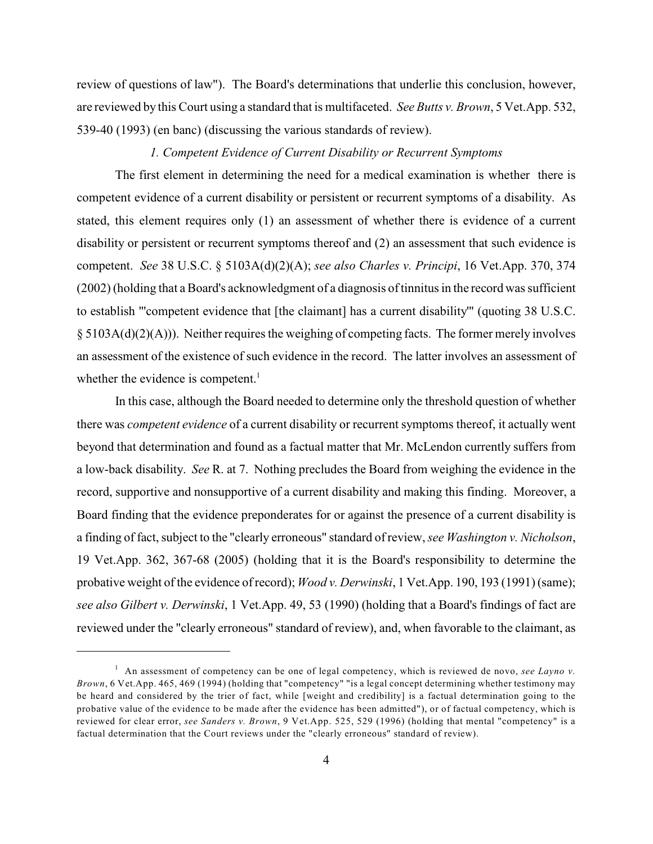review of questions of law"). The Board's determinations that underlie this conclusion, however, are reviewed by this Court using a standard that is multifaceted. *See Butts v. Brown*, 5 Vet.App. 532, 539-40 (1993) (en banc) (discussing the various standards of review).

### *1. Competent Evidence of Current Disability or Recurrent Symptoms*

The first element in determining the need for a medical examination is whether there is competent evidence of a current disability or persistent or recurrent symptoms of a disability. As stated, this element requires only (1) an assessment of whether there is evidence of a current disability or persistent or recurrent symptoms thereof and (2) an assessment that such evidence is competent. *See* 38 U.S.C. § 5103A(d)(2)(A); *see also Charles v. Principi*, 16 Vet.App. 370, 374 (2002) (holding that a Board's acknowledgment of a diagnosis oftinnitusin the record was sufficient to establish "'competent evidence that [the claimant] has a current disability'" (quoting 38 U.S.C. § 5103A(d)(2)(A))). Neither requires the weighing of competing facts. The former merely involves an assessment of the existence of such evidence in the record. The latter involves an assessment of whether the evidence is competent.<sup>1</sup>

In this case, although the Board needed to determine only the threshold question of whether there was *competent evidence* of a current disability or recurrent symptoms thereof, it actually went beyond that determination and found as a factual matter that Mr. McLendon currently suffers from a low-back disability. *See* R. at 7. Nothing precludes the Board from weighing the evidence in the record, supportive and nonsupportive of a current disability and making this finding. Moreover, a Board finding that the evidence preponderates for or against the presence of a current disability is a finding of fact, subject to the "clearly erroneous" standard of review, *see Washington v. Nicholson*, 19 Vet.App. 362, 367-68 (2005) (holding that it is the Board's responsibility to determine the probative weight of the evidence of record); *Wood v. Derwinski*, 1 Vet.App. 190, 193 (1991) (same); *see also Gilbert v. Derwinski*, 1 Vet.App. 49, 53 (1990) (holding that a Board's findings of fact are reviewed under the "clearly erroneous" standard of review), and, when favorable to the claimant, as

<sup>&</sup>lt;sup>1</sup> An assessment of competency can be one of legal competency, which is reviewed de novo, *see Layno v*. *Brown*, 6 Vet.App. 465, 469 (1994) (holding that "competency" "is a legal concept determining whether testimony may be heard and considered by the trier of fact, while [weight and credibility] is a factual determination going to the probative value of the evidence to be made after the evidence has been admitted"), or of factual competency, which is reviewed for clear error, *see Sanders v. Brown*, 9 Vet.App. 525, 529 (1996) (holding that mental "competency" is a factual determination that the Court reviews under the "clearly erroneous" standard of review).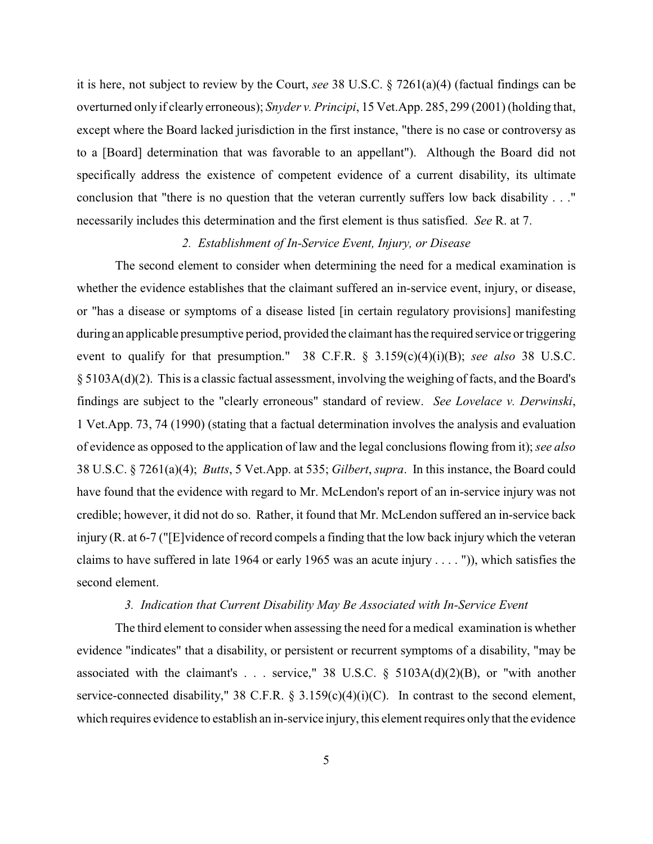it is here, not subject to review by the Court, *see* 38 U.S.C. § 7261(a)(4) (factual findings can be overturned only if clearly erroneous); *Snyder v. Principi*, 15 Vet.App. 285, 299 (2001) (holding that, except where the Board lacked jurisdiction in the first instance, "there is no case or controversy as to a [Board] determination that was favorable to an appellant"). Although the Board did not specifically address the existence of competent evidence of a current disability, its ultimate conclusion that "there is no question that the veteran currently suffers low back disability . . ." necessarily includes this determination and the first element is thus satisfied. *See* R. at 7.

## *2. Establishment of In-Service Event, Injury, or Disease*

The second element to consider when determining the need for a medical examination is whether the evidence establishes that the claimant suffered an in-service event, injury, or disease, or "has a disease or symptoms of a disease listed [in certain regulatory provisions] manifesting during an applicable presumptive period, provided the claimant has the required service or triggering event to qualify for that presumption." 38 C.F.R. § 3.159(c)(4)(i)(B); *see also* 38 U.S.C. § 5103A(d)(2). This is a classic factual assessment, involving the weighing of facts, and the Board's findings are subject to the "clearly erroneous" standard of review. *See Lovelace v. Derwinski*, 1 Vet.App. 73, 74 (1990) (stating that a factual determination involves the analysis and evaluation of evidence as opposed to the application of law and the legal conclusions flowing from it); *see also* 38 U.S.C. § 7261(a)(4); *Butts*, 5 Vet.App. at 535; *Gilbert*, *supra*. In this instance, the Board could have found that the evidence with regard to Mr. McLendon's report of an in-service injury was not credible; however, it did not do so. Rather, it found that Mr. McLendon suffered an in-service back injury (R. at 6-7 ("[E]vidence of record compels a finding that the low back injury which the veteran claims to have suffered in late 1964 or early 1965 was an acute injury . . . . ")), which satisfies the second element.

### *3. Indication that Current Disability May Be Associated with In-Service Event*

The third element to consider when assessing the need for a medical examination is whether evidence "indicates" that a disability, or persistent or recurrent symptoms of a disability, "may be associated with the claimant's . . . service," 38 U.S.C.  $\S$  5103A(d)(2)(B), or "with another service-connected disability," 38 C.F.R. § 3.159(c)(4)(i)(C). In contrast to the second element, which requires evidence to establish an in-service injury, this element requires only that the evidence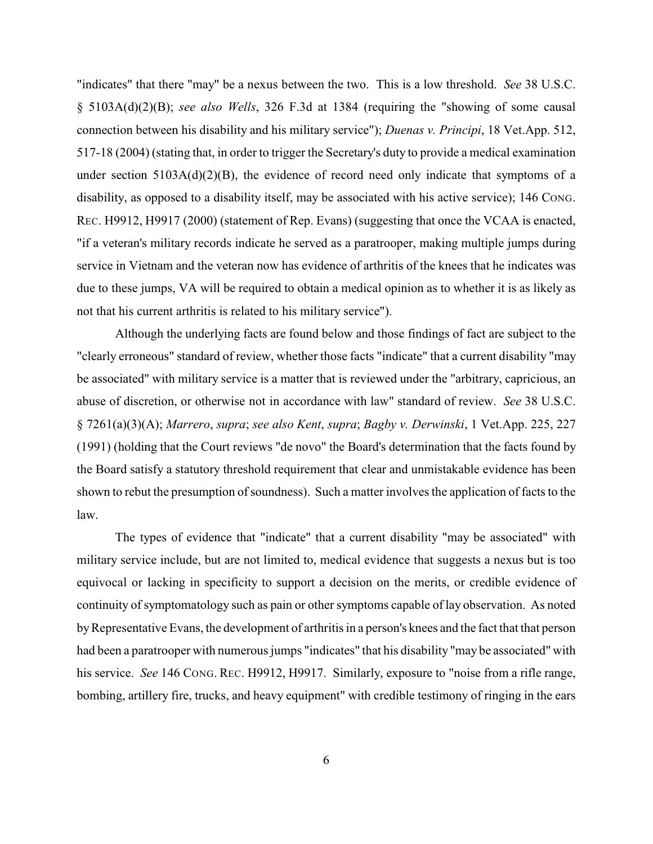"indicates" that there "may" be a nexus between the two. This is a low threshold. *See* 38 U.S.C. § 5103A(d)(2)(B); *see also Wells*, 326 F.3d at 1384 (requiring the "showing of some causal connection between his disability and his military service"); *Duenas v. Principi*, 18 Vet.App. 512, 517-18 (2004) (stating that, in order to trigger the Secretary's duty to provide a medical examination under section  $5103A(d)(2)(B)$ , the evidence of record need only indicate that symptoms of a disability, as opposed to a disability itself, may be associated with his active service); 146 CONG. REC. H9912, H9917 (2000) (statement of Rep. Evans) (suggesting that once the VCAA is enacted, "if a veteran's military records indicate he served as a paratrooper, making multiple jumps during service in Vietnam and the veteran now has evidence of arthritis of the knees that he indicates was due to these jumps, VA will be required to obtain a medical opinion as to whether it is as likely as not that his current arthritis is related to his military service").

Although the underlying facts are found below and those findings of fact are subject to the "clearly erroneous" standard of review, whether those facts "indicate" that a current disability "may be associated" with military service is a matter that is reviewed under the "arbitrary, capricious, an abuse of discretion, or otherwise not in accordance with law" standard of review. *See* 38 U.S.C. § 7261(a)(3)(A); *Marrero*, *supra*; *see also Kent*, *supra*; *Bagby v. Derwinski*, 1 Vet.App. 225, 227 (1991) (holding that the Court reviews "de novo" the Board's determination that the facts found by the Board satisfy a statutory threshold requirement that clear and unmistakable evidence has been shown to rebut the presumption of soundness). Such a matter involves the application of facts to the law.

The types of evidence that "indicate" that a current disability "may be associated" with military service include, but are not limited to, medical evidence that suggests a nexus but is too equivocal or lacking in specificity to support a decision on the merits, or credible evidence of continuity of symptomatology such as pain or other symptoms capable of lay observation. As noted by Representative Evans, the development of arthritis in a person's knees and the fact that that person had been a paratrooper with numerous jumps "indicates" that his disability "may be associated" with his service. *See* 146 CONG. REC. H9912, H9917. Similarly, exposure to "noise from a rifle range, bombing, artillery fire, trucks, and heavy equipment" with credible testimony of ringing in the ears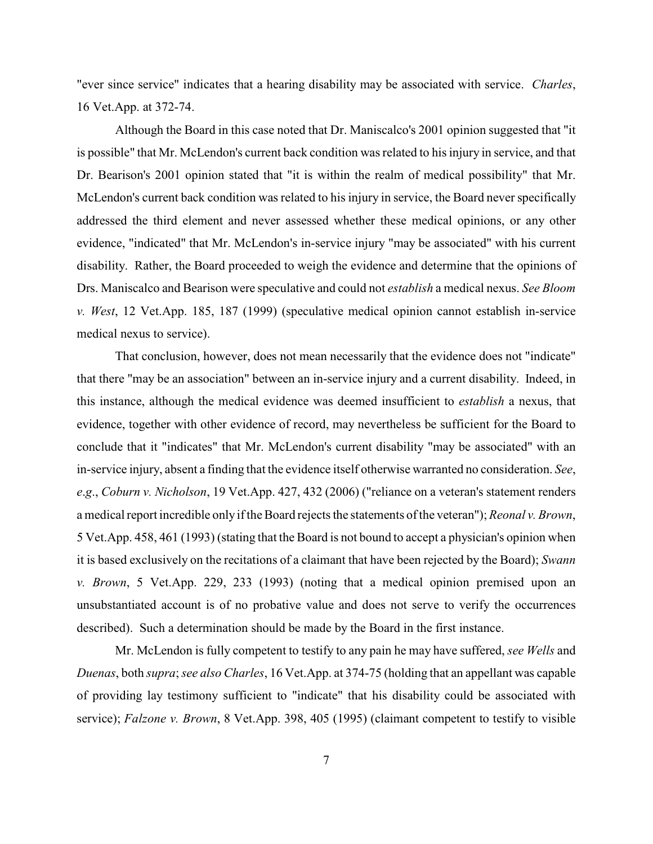"ever since service" indicates that a hearing disability may be associated with service. *Charles*, 16 Vet.App. at 372-74.

Although the Board in this case noted that Dr. Maniscalco's 2001 opinion suggested that "it is possible" that Mr. McLendon's current back condition was related to his injury in service, and that Dr. Bearison's 2001 opinion stated that "it is within the realm of medical possibility" that Mr. McLendon's current back condition was related to his injury in service, the Board never specifically addressed the third element and never assessed whether these medical opinions, or any other evidence, "indicated" that Mr. McLendon's in-service injury "may be associated" with his current disability. Rather, the Board proceeded to weigh the evidence and determine that the opinions of Drs. Maniscalco and Bearison were speculative and could not *establish* a medical nexus. *See Bloom v. West*, 12 Vet.App. 185, 187 (1999) (speculative medical opinion cannot establish in-service medical nexus to service).

That conclusion, however, does not mean necessarily that the evidence does not "indicate" that there "may be an association" between an in-service injury and a current disability. Indeed, in this instance, although the medical evidence was deemed insufficient to *establish* a nexus, that evidence, together with other evidence of record, may nevertheless be sufficient for the Board to conclude that it "indicates" that Mr. McLendon's current disability "may be associated" with an in-service injury, absent a finding that the evidence itself otherwise warranted no consideration. *See*, *e*.*g*., *Coburn v. Nicholson*, 19 Vet.App. 427, 432 (2006) ("reliance on a veteran's statement renders a medical report incredible only if the Board rejects the statements of the veteran"); *Reonal v. Brown*, 5 Vet.App. 458, 461 (1993) (stating that the Board is not bound to accept a physician's opinion when it is based exclusively on the recitations of a claimant that have been rejected by the Board); *Swann v. Brown*, 5 Vet.App. 229, 233 (1993) (noting that a medical opinion premised upon an unsubstantiated account is of no probative value and does not serve to verify the occurrences described). Such a determination should be made by the Board in the first instance.

Mr. McLendon is fully competent to testify to any pain he may have suffered, *see Wells* and *Duenas*, both *supra*; *see also Charles*, 16 Vet.App. at 374-75 (holding that an appellant was capable of providing lay testimony sufficient to "indicate" that his disability could be associated with service); *Falzone v. Brown*, 8 Vet.App. 398, 405 (1995) (claimant competent to testify to visible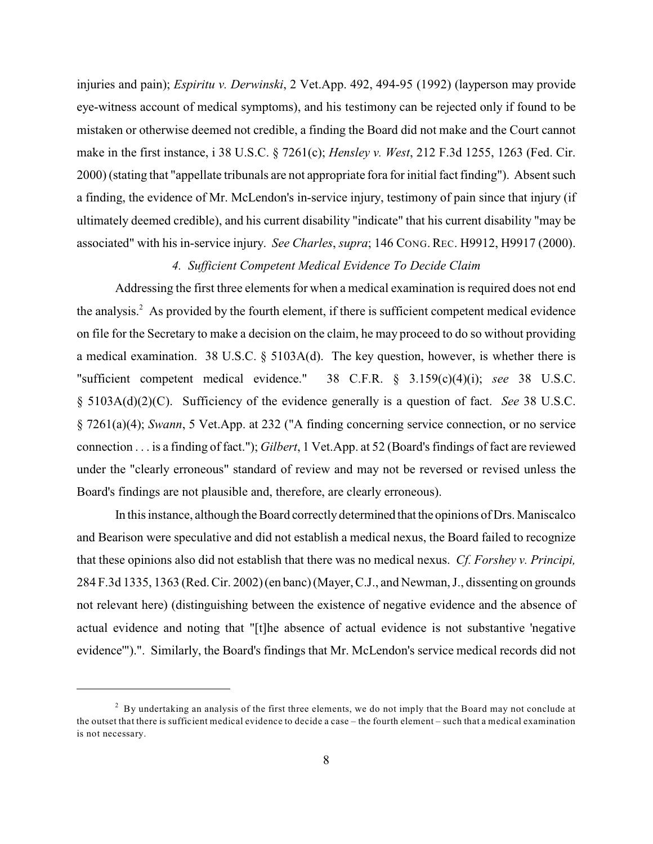injuries and pain); *Espiritu v. Derwinski*, 2 Vet.App. 492, 494-95 (1992) (layperson may provide eye-witness account of medical symptoms), and his testimony can be rejected only if found to be mistaken or otherwise deemed not credible, a finding the Board did not make and the Court cannot make in the first instance, i 38 U.S.C. § 7261(c); *Hensley v. West*, 212 F.3d 1255, 1263 (Fed. Cir. 2000) (stating that "appellate tribunals are not appropriate fora for initial fact finding"). Absent such a finding, the evidence of Mr. McLendon's in-service injury, testimony of pain since that injury (if ultimately deemed credible), and his current disability "indicate" that his current disability "may be associated" with his in-service injury. *See Charles*, *supra*; 146 CONG. REC. H9912, H9917 (2000).

# *4. Sufficient Competent Medical Evidence To Decide Claim*

Addressing the first three elements for when a medical examination is required does not end the analysis.<sup>2</sup> As provided by the fourth element, if there is sufficient competent medical evidence on file for the Secretary to make a decision on the claim, he may proceed to do so without providing a medical examination. 38 U.S.C. § 5103A(d). The key question, however, is whether there is "sufficient competent medical evidence." 38 C.F.R. § 3.159(c)(4)(i); *see* 38 U.S.C. § 5103A(d)(2)(C). Sufficiency of the evidence generally is a question of fact. *See* 38 U.S.C. § 7261(a)(4); *Swann*, 5 Vet.App. at 232 ("A finding concerning service connection, or no service connection . . . is a finding of fact."); *Gilbert*, 1 Vet.App. at 52 (Board's findings of fact are reviewed under the "clearly erroneous" standard of review and may not be reversed or revised unless the Board's findings are not plausible and, therefore, are clearly erroneous).

In this instance, although the Board correctly determined that the opinions of Drs. Maniscalco and Bearison were speculative and did not establish a medical nexus, the Board failed to recognize that these opinions also did not establish that there was no medical nexus. *Cf. Forshey v. Principi,* 284 F.3d 1335, 1363 (Red. Cir. 2002)(en banc)(Mayer, C.J., and Newman, J., dissenting on grounds not relevant here) (distinguishing between the existence of negative evidence and the absence of actual evidence and noting that "[t]he absence of actual evidence is not substantive 'negative evidence'").". Similarly, the Board's findings that Mr. McLendon's service medical records did not

 $^2$  By undertaking an analysis of the first three elements, we do not imply that the Board may not conclude at the outset that there is sufficient medical evidence to decide a case – the fourth element – such that a medical examination is not necessary.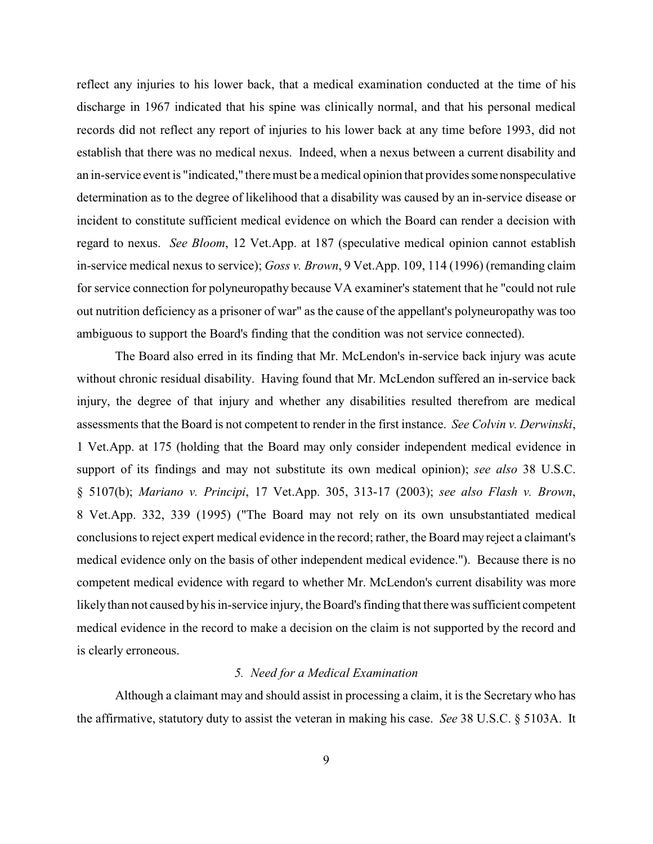reflect any injuries to his lower back, that a medical examination conducted at the time of his discharge in 1967 indicated that his spine was clinically normal, and that his personal medical records did not reflect any report of injuries to his lower back at any time before 1993, did not establish that there was no medical nexus. Indeed, when a nexus between a current disability and an in-service event is "indicated," there must be a medical opinion that provides some nonspeculative determination as to the degree of likelihood that a disability was caused by an in-service disease or incident to constitute sufficient medical evidence on which the Board can render a decision with regard to nexus. *See Bloom*, 12 Vet.App. at 187 (speculative medical opinion cannot establish in-service medical nexus to service); *Goss v. Brown*, 9 Vet.App. 109, 114 (1996) (remanding claim for service connection for polyneuropathy because VA examiner's statement that he "could not rule out nutrition deficiency as a prisoner of war" as the cause of the appellant's polyneuropathy was too ambiguous to support the Board's finding that the condition was not service connected).

The Board also erred in its finding that Mr. McLendon's in-service back injury was acute without chronic residual disability. Having found that Mr. McLendon suffered an in-service back injury, the degree of that injury and whether any disabilities resulted therefrom are medical assessments that the Board is not competent to render in the first instance. *See Colvin v. Derwinski*, 1 Vet.App. at 175 (holding that the Board may only consider independent medical evidence in support of its findings and may not substitute its own medical opinion); *see also* 38 U.S.C. § 5107(b); *Mariano v. Principi*, 17 Vet.App. 305, 313-17 (2003); *see also Flash v. Brown*, 8 Vet.App. 332, 339 (1995) ("The Board may not rely on its own unsubstantiated medical conclusions to reject expert medical evidence in the record; rather, the Board may reject a claimant's medical evidence only on the basis of other independent medical evidence."). Because there is no competent medical evidence with regard to whether Mr. McLendon's current disability was more likely than not caused by his in-service injury, the Board's finding that there was sufficient competent medical evidence in the record to make a decision on the claim is not supported by the record and is clearly erroneous.

#### *5. Need for a Medical Examination*

Although a claimant may and should assist in processing a claim, it is the Secretary who has the affirmative, statutory duty to assist the veteran in making his case. *See* 38 U.S.C. § 5103A. It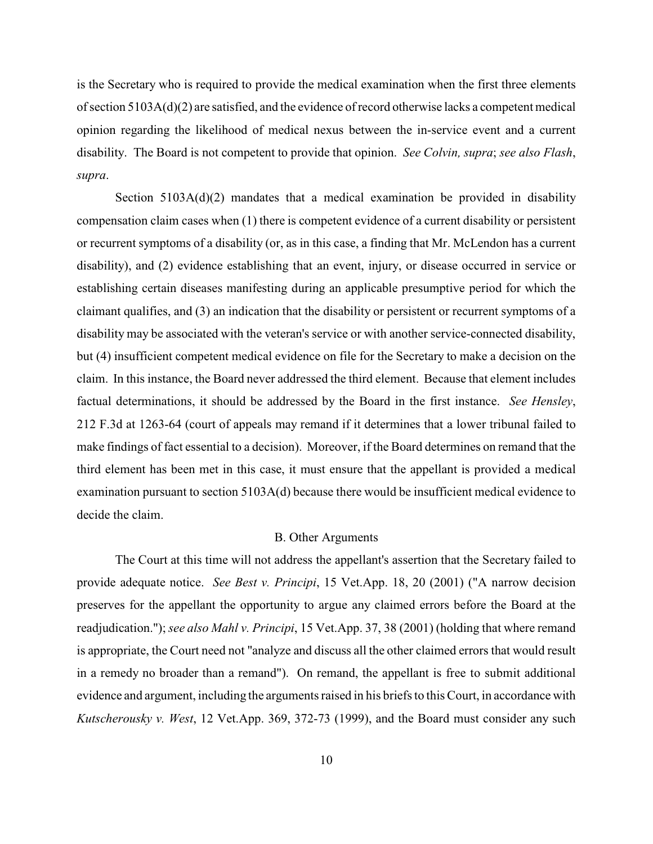is the Secretary who is required to provide the medical examination when the first three elements of section 5103A(d)(2) are satisfied, and the evidence of record otherwise lacks a competent medical opinion regarding the likelihood of medical nexus between the in-service event and a current disability. The Board is not competent to provide that opinion. *See Colvin, supra*; *see also Flash*, *supra*.

Section  $5103A(d)(2)$  mandates that a medical examination be provided in disability compensation claim cases when (1) there is competent evidence of a current disability or persistent or recurrent symptoms of a disability (or, as in this case, a finding that Mr. McLendon has a current disability), and (2) evidence establishing that an event, injury, or disease occurred in service or establishing certain diseases manifesting during an applicable presumptive period for which the claimant qualifies, and (3) an indication that the disability or persistent or recurrent symptoms of a disability may be associated with the veteran's service or with another service-connected disability, but (4) insufficient competent medical evidence on file for the Secretary to make a decision on the claim. In this instance, the Board never addressed the third element. Because that element includes factual determinations, it should be addressed by the Board in the first instance. *See Hensley*, 212 F.3d at 1263-64 (court of appeals may remand if it determines that a lower tribunal failed to make findings of fact essential to a decision). Moreover, if the Board determines on remand that the third element has been met in this case, it must ensure that the appellant is provided a medical examination pursuant to section 5103A(d) because there would be insufficient medical evidence to decide the claim.

#### B. Other Arguments

The Court at this time will not address the appellant's assertion that the Secretary failed to provide adequate notice. *See Best v. Principi*, 15 Vet.App. 18, 20 (2001) ("A narrow decision preserves for the appellant the opportunity to argue any claimed errors before the Board at the readjudication.");*see also Mahl v. Principi*, 15 Vet.App. 37, 38 (2001) (holding that where remand is appropriate, the Court need not "analyze and discuss all the other claimed errors that would result in a remedy no broader than a remand"). On remand, the appellant is free to submit additional evidence and argument, including the arguments raised in his briefs to this Court, in accordance with *Kutscherousky v. West*, 12 Vet.App. 369, 372-73 (1999), and the Board must consider any such